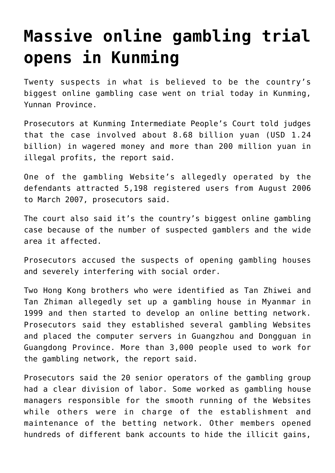## **[Massive online gambling trial](https://www.isa-guide.de/english-news/articles/22309.html) [opens in Kunming](https://www.isa-guide.de/english-news/articles/22309.html)**

Twenty suspects in what is believed to be the country's biggest online gambling case went on trial today in Kunming, Yunnan Province.

Prosecutors at Kunming Intermediate People's Court told judges that the case involved about 8.68 billion yuan (USD 1.24 billion) in wagered money and more than 200 million yuan in illegal profits, the report said.

One of the gambling Website's allegedly operated by the defendants attracted 5,198 registered users from August 2006 to March 2007, prosecutors said.

The court also said it's the country's biggest online gambling case because of the number of suspected gamblers and the wide area it affected.

Prosecutors accused the suspects of opening gambling houses and severely interfering with social order.

Two Hong Kong brothers who were identified as Tan Zhiwei and Tan Zhiman allegedly set up a gambling house in Myanmar in 1999 and then started to develop an online betting network. Prosecutors said they established several gambling Websites and placed the computer servers in Guangzhou and Dongguan in Guangdong Province. More than 3,000 people used to work for the gambling network, the report said.

Prosecutors said the 20 senior operators of the gambling group had a clear division of labor. Some worked as gambling house managers responsible for the smooth running of the Websites while others were in charge of the establishment and maintenance of the betting network. Other members opened hundreds of different bank accounts to hide the illicit gains,